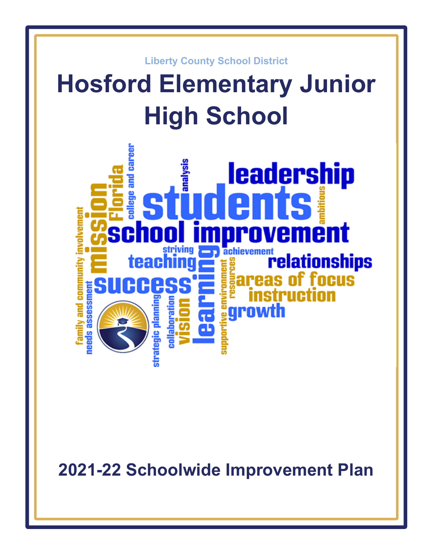

**2021-22 Schoolwide Improvement Plan**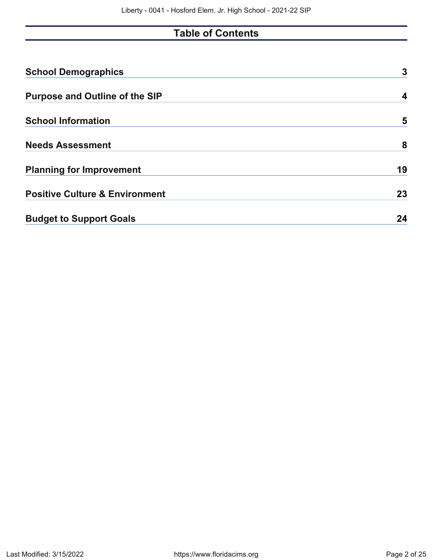# **Table of Contents**

| <b>School Demographics</b>                | 3  |
|-------------------------------------------|----|
| <b>Purpose and Outline of the SIP</b>     | 4  |
| <b>School Information</b>                 | 5  |
| <b>Needs Assessment</b>                   | 8  |
| <b>Planning for Improvement</b>           | 19 |
| <b>Positive Culture &amp; Environment</b> | 23 |
| <b>Budget to Support Goals</b>            | 24 |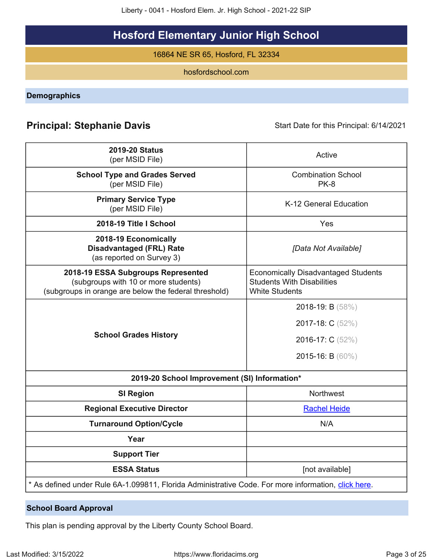Liberty - 0041 - Hosford Elem. Jr. High School - 2021-22 SIP

# **Hosford Elementary Junior High School**

16864 NE SR 65, Hosford, FL 32334

hosfordschool.com

<span id="page-2-0"></span>**Demographics**

# **Principal: Stephanie Davis Start Date for this Principal: 6/14/2021**

| <b>2019-20 Status</b><br>(per MSID File)                                                                                            | Active                                                                                                   |
|-------------------------------------------------------------------------------------------------------------------------------------|----------------------------------------------------------------------------------------------------------|
| <b>School Type and Grades Served</b><br>(per MSID File)                                                                             | <b>Combination School</b><br><b>PK-8</b>                                                                 |
| <b>Primary Service Type</b><br>(per MSID File)                                                                                      | K-12 General Education                                                                                   |
| 2018-19 Title I School                                                                                                              | Yes                                                                                                      |
| 2018-19 Economically<br><b>Disadvantaged (FRL) Rate</b><br>(as reported on Survey 3)                                                | [Data Not Available]                                                                                     |
| 2018-19 ESSA Subgroups Represented<br>(subgroups with 10 or more students)<br>(subgroups in orange are below the federal threshold) | <b>Economically Disadvantaged Students</b><br><b>Students With Disabilities</b><br><b>White Students</b> |
|                                                                                                                                     | 2018-19: B (58%)                                                                                         |
|                                                                                                                                     | 2017-18: C (52%)                                                                                         |
| <b>School Grades History</b>                                                                                                        | 2016-17: C (52%)                                                                                         |
|                                                                                                                                     | 2015-16: B (60%)                                                                                         |
| 2019-20 School Improvement (SI) Information*                                                                                        |                                                                                                          |
| <b>SI Region</b>                                                                                                                    | Northwest                                                                                                |
| <b>Regional Executive Director</b>                                                                                                  | <b>Rachel Heide</b>                                                                                      |
| <b>Turnaround Option/Cycle</b>                                                                                                      | N/A                                                                                                      |
| Year                                                                                                                                |                                                                                                          |
| <b>Support Tier</b>                                                                                                                 |                                                                                                          |
| <b>ESSA Status</b>                                                                                                                  | [not available]                                                                                          |
| * As defined under Rule 6A-1.099811, Florida Administrative Code. For more information, click here.                                 |                                                                                                          |

# **School Board Approval**

This plan is pending approval by the Liberty County School Board.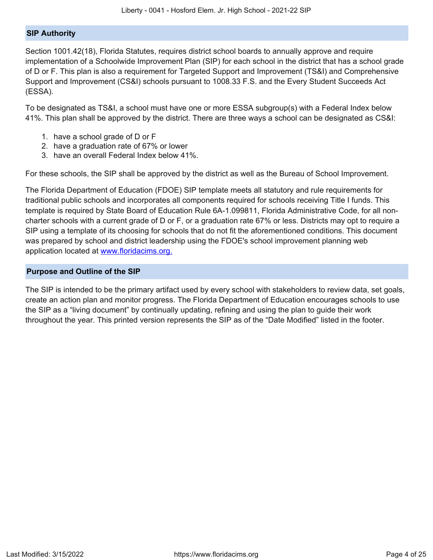#### **SIP Authority**

Section 1001.42(18), Florida Statutes, requires district school boards to annually approve and require implementation of a Schoolwide Improvement Plan (SIP) for each school in the district that has a school grade of D or F. This plan is also a requirement for Targeted Support and Improvement (TS&I) and Comprehensive Support and Improvement (CS&I) schools pursuant to 1008.33 F.S. and the Every Student Succeeds Act (ESSA).

To be designated as TS&I, a school must have one or more ESSA subgroup(s) with a Federal Index below 41%. This plan shall be approved by the district. There are three ways a school can be designated as CS&I:

- 1. have a school grade of D or F
- 2. have a graduation rate of 67% or lower
- 3. have an overall Federal Index below 41%.

For these schools, the SIP shall be approved by the district as well as the Bureau of School Improvement.

The Florida Department of Education (FDOE) SIP template meets all statutory and rule requirements for traditional public schools and incorporates all components required for schools receiving Title I funds. This template is required by State Board of Education Rule 6A-1.099811, Florida Administrative Code, for all noncharter schools with a current grade of D or F, or a graduation rate 67% or less. Districts may opt to require a SIP using a template of its choosing for schools that do not fit the aforementioned conditions. This document was prepared by school and district leadership using the FDOE's school improvement planning web application located at [www.floridacims.org.](https://www.floridacims.org)

#### <span id="page-3-0"></span>**Purpose and Outline of the SIP**

The SIP is intended to be the primary artifact used by every school with stakeholders to review data, set goals, create an action plan and monitor progress. The Florida Department of Education encourages schools to use the SIP as a "living document" by continually updating, refining and using the plan to guide their work throughout the year. This printed version represents the SIP as of the "Date Modified" listed in the footer.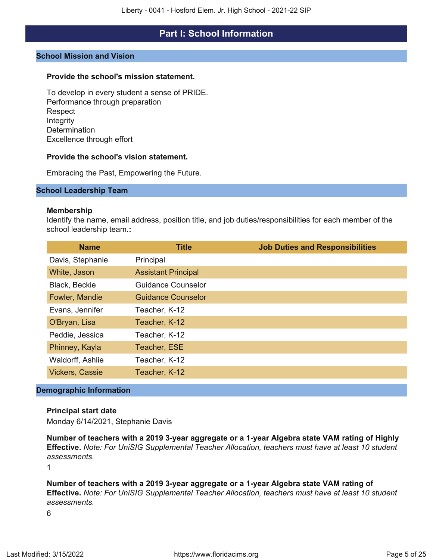# **Part I: School Information**

#### <span id="page-4-0"></span>**School Mission and Vision**

#### **Provide the school's mission statement.**

To develop in every student a sense of PRIDE. Performance through preparation Respect Integrity **Determination** Excellence through effort

#### **Provide the school's vision statement.**

Embracing the Past, Empowering the Future.

#### **School Leadership Team**

#### **Membership**

Identify the name, email address, position title, and job duties/responsibilities for each member of the school leadership team.**:**

| <b>Name</b>            | <b>Title</b>               | <b>Job Duties and Responsibilities</b> |
|------------------------|----------------------------|----------------------------------------|
| Davis, Stephanie       | Principal                  |                                        |
| White, Jason           | <b>Assistant Principal</b> |                                        |
| Black, Beckie          | <b>Guidance Counselor</b>  |                                        |
| Fowler, Mandie         | <b>Guidance Counselor</b>  |                                        |
| Evans, Jennifer        | Teacher, K-12              |                                        |
| O'Bryan, Lisa          | Teacher, K-12              |                                        |
| Peddie, Jessica        | Teacher, K-12              |                                        |
| Phinney, Kayla         | Teacher, ESE               |                                        |
| Waldorff, Ashlie       | Teacher, K-12              |                                        |
| <b>Vickers, Cassie</b> | Teacher, K-12              |                                        |

#### **Demographic Information**

#### **Principal start date**

Monday 6/14/2021, Stephanie Davis

**Number of teachers with a 2019 3-year aggregate or a 1-year Algebra state VAM rating of Highly Effective.** *Note: For UniSIG Supplemental Teacher Allocation, teachers must have at least 10 student assessments.*

1

**Number of teachers with a 2019 3-year aggregate or a 1-year Algebra state VAM rating of Effective.** *Note: For UniSIG Supplemental Teacher Allocation, teachers must have at least 10 student assessments.*

6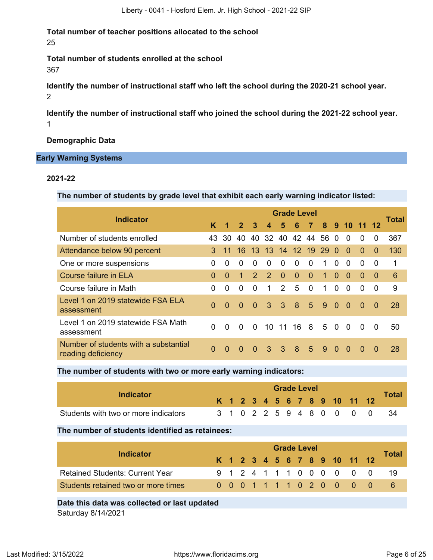**Total number of teacher positions allocated to the school** 25

**Total number of students enrolled at the school** 367

**Identify the number of instructional staff who left the school during the 2020-21 school year.** 2

**Identify the number of instructional staff who joined the school during the 2021-22 school year.** 1

**Demographic Data**

#### **Early Warning Systems**

#### **2021-22**

**The number of students by grade level that exhibit each early warning indicator listed:**

|                                                             |          |                      |                |               |                  |                | <b>Grade Level</b>  |                 |            |          |           |              |          |                 |
|-------------------------------------------------------------|----------|----------------------|----------------|---------------|------------------|----------------|---------------------|-----------------|------------|----------|-----------|--------------|----------|-----------------|
| <b>Indicator</b>                                            | ĸ        | $\blacktriangleleft$ | $\overline{2}$ | $\mathbf{3}$  | $\boldsymbol{4}$ |                | $5\quad 6\quad 7$   |                 |            |          | 8 9 10 11 |              |          | Total           |
| Number of students enrolled                                 | 43.      | .30                  | 40.            |               |                  |                | 40 32 40 42 44      |                 | 56 0       |          | $\Omega$  | $\Omega$     | 0        | 367             |
| Attendance below 90 percent                                 | 3        | 11                   | 16             |               |                  |                | 13 13 14 12 19 29 0 |                 |            |          | $\Omega$  | $\Omega$     | $\Omega$ | 130             |
| One or more suspensions                                     | 0        | $\Omega$             | 0              | $\Omega$      | $\Omega$         | $\Omega$       | $\Omega$            | $\Omega$        | 1.         | $\Omega$ | $\Omega$  | <sup>0</sup> | $\Omega$ | 1               |
| <b>Course failure in ELA</b>                                | $\Omega$ | $\Omega$             | $\mathbf{1}$   | $\mathcal{P}$ | $\mathcal{P}$    | $\Omega$       | $\Omega$            | $\Omega$        | 1.         | $\Omega$ | $\Omega$  | $\Omega$     | $\Omega$ | $6\phantom{1}6$ |
| Course failure in Math                                      | 0        | 0                    | 0              | $\Omega$      | 1                | $\mathcal{P}$  | 5                   | $\Omega$        | 1.         | $\Omega$ | 0         | 0            | $\Omega$ | 9               |
| Level 1 on 2019 statewide FSA ELA<br>assessment             | $\Omega$ | $\Omega$             | $\Omega$       | $\Omega$      | 3                | $\overline{3}$ | 8                   | $5\overline{)}$ | 9          | $\Omega$ | $\Omega$  | $\Omega$     | $\Omega$ | 28              |
| Level 1 on 2019 statewide FSA Math<br>assessment            | $\Omega$ | $\Omega$             | $\Omega$       | $\Omega$      |                  | $10 \t11$      | 16 8                |                 | $5\quad$ 0 |          | $\Omega$  | $\Omega$     | $\Omega$ | 50              |
| Number of students with a substantial<br>reading deficiency | $\Omega$ | $\Omega$             | $\Omega$       | $\Omega$      | 3                | -3             | 8                   | $5^{\circ}$     | 9          | $\Omega$ | $\Omega$  | $\Omega$     | $\Omega$ | 28              |

**The number of students with two or more early warning indicators:**

| Indicator                            |  |  |  | <b>Grade Level</b> |  |                              |                           |              |
|--------------------------------------|--|--|--|--------------------|--|------------------------------|---------------------------|--------------|
|                                      |  |  |  |                    |  | K 1 2 3 4 5 6 7 8 9 10 11 12 |                           | <b>Total</b> |
| Students with two or more indicators |  |  |  |                    |  |                              | 3 1 0 2 2 5 9 4 8 0 0 0 0 |              |

**The number of students identified as retainees:**

| Indicator                              | <b>Grade Level</b> |  |  |  |  |  |  |  |  |  |  |                              |  |       |  |
|----------------------------------------|--------------------|--|--|--|--|--|--|--|--|--|--|------------------------------|--|-------|--|
|                                        |                    |  |  |  |  |  |  |  |  |  |  | K 1 2 3 4 5 6 7 8 9 10 11 12 |  | Total |  |
| <b>Retained Students: Current Year</b> |                    |  |  |  |  |  |  |  |  |  |  | 9 1 2 4 1 1 1 0 0 0 0 0 0    |  | -19   |  |
| Students retained two or more times    |                    |  |  |  |  |  |  |  |  |  |  | 0 0 0 1 1 1 1 0 2 0 0 0 0    |  | -6    |  |
|                                        |                    |  |  |  |  |  |  |  |  |  |  |                              |  |       |  |

**Date this data was collected or last updated**

Saturday 8/14/2021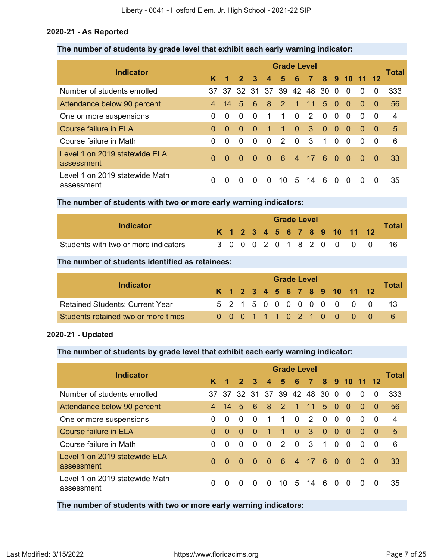#### **2020-21 - As Reported**

#### **The number of students by grade level that exhibit each early warning indicator:**

|                                              | <b>Grade Level</b> |                     |          |          |                  |                        |                |             |          |           |          |          |                |       |  |
|----------------------------------------------|--------------------|---------------------|----------|----------|------------------|------------------------|----------------|-------------|----------|-----------|----------|----------|----------------|-------|--|
| <b>Indicator</b>                             | K.                 | $1 \quad 2 \quad 3$ |          |          | $\boldsymbol{4}$ | 5 <sup>5</sup>         | $-6$           | 7 8 9 10 11 |          |           |          |          | 12             | Total |  |
| Number of students enrolled                  | 37                 | -37                 |          |          |                  | 32 31 37 39 42 48 30 0 |                |             |          |           | $\Omega$ | $\Omega$ | $\Omega$       | 333   |  |
| Attendance below 90 percent                  | 4                  | 14                  | 5        | 6        | 8                | <sup>2</sup>           | $\overline{1}$ | 11          | 5        | $\Omega$  | $\Omega$ | $\Omega$ | 0              | 56    |  |
| One or more suspensions                      | 0                  | $\Omega$            | $\Omega$ | $\Omega$ | 1                | 1                      | $\Omega$       | 2           | $\Omega$ | $\Omega$  | $\Omega$ | $\Omega$ | 0              | 4     |  |
| <b>Course failure in ELA</b>                 | $\Omega$           | $\Omega$            | $\Omega$ | $\Omega$ | 1                | 1                      | $\Omega$       | 3           | $\Omega$ | $\Omega$  | $\Omega$ | $\Omega$ | 0              | 5     |  |
| Course failure in Math                       | 0                  | $\Omega$            | $\Omega$ | $\Omega$ | $\Omega$         | 2                      | $\Omega$       | -3          | 1        | $\Omega$  | $\Omega$ | $\Omega$ | $\overline{0}$ | 6     |  |
| Level 1 on 2019 statewide ELA<br>assessment  | $\Omega$           | $\Omega$            | $\Omega$ | $\Omega$ | $\sim 0$         | - 6                    | 4 <sup>7</sup> | 17          | $-6$     | $\bullet$ | - 0      | $\Omega$ | -0             | 33    |  |
| Level 1 on 2019 statewide Math<br>assessment | 0                  | 0                   | $\Omega$ | $\Omega$ | $\Omega$         | 10.                    | $5^{\circ}$    | 14          | -6       | $\Omega$  | $\Omega$ | $\Omega$ | $\Omega$       | 35    |  |

**The number of students with two or more early warning indicators:**

| Indicator                            |  |  |  |  | <b>Grade Level</b> |  |                              |              |
|--------------------------------------|--|--|--|--|--------------------|--|------------------------------|--------------|
|                                      |  |  |  |  |                    |  | K 1 2 3 4 5 6 7 8 9 10 11 12 | <b>Total</b> |
| Students with two or more indicators |  |  |  |  |                    |  | 3 0 0 0 2 0 1 8 2 0 0 0 0    |              |

**The number of students identified as retainees:**

|                                        | <b>Grade Level</b> |  |  |  |  |  |  |  |  |  |  |                              |  |              |  |
|----------------------------------------|--------------------|--|--|--|--|--|--|--|--|--|--|------------------------------|--|--------------|--|
| Indicator                              |                    |  |  |  |  |  |  |  |  |  |  | K 1 2 3 4 5 6 7 8 9 10 11 12 |  | <b>Total</b> |  |
| <b>Retained Students: Current Year</b> |                    |  |  |  |  |  |  |  |  |  |  | 5 2 1 5 0 0 0 0 0 0 0 0 0    |  |              |  |
| Students retained two or more times    |                    |  |  |  |  |  |  |  |  |  |  | 0 0 0 1 1 1 0 2 1 0 0 0 0    |  |              |  |

#### **2020-21 - Updated**

### **The number of students by grade level that exhibit each early warning indicator:**

| <b>Indicator</b>                             | <b>Grade Level</b> |          |                |              |                  |                        |                |                |                         |              |                |          |                |       |
|----------------------------------------------|--------------------|----------|----------------|--------------|------------------|------------------------|----------------|----------------|-------------------------|--------------|----------------|----------|----------------|-------|
|                                              | K                  | 1        | $\overline{2}$ | 3            | $\blacktriangle$ | 5                      | - 6            | $\overline{7}$ | $\overline{\mathbf{8}}$ |              | 9 10 11        |          | 12             | Total |
| Number of students enrolled                  | 37                 | -37      |                |              |                  | 32 31 37 39 42 48 30 0 |                |                |                         |              | - 0            | $\Omega$ | $\Omega$       | 333   |
| Attendance below 90 percent                  | $\overline{4}$     | 14       | 5              | 6            | 8                | $\overline{2}$         | $\mathbf{1}$   | 11             | 5                       | $\Omega$     | $\Omega$       | $\Omega$ | $\Omega$       | 56    |
| One or more suspensions                      | 0                  | $\Omega$ | $\Omega$       | $\Omega$     | 1                | 1                      | $\Omega$       | 2              | $\Omega$                | $\mathbf{0}$ | $\Omega$       | 0        | $\overline{0}$ | 4     |
| Course failure in ELA                        | $\Omega$           | $\Omega$ | $\Omega$       | $\Omega$     | 1                | 1                      | $\Omega$       | 3              | $\Omega$                | $\Omega$     | $\Omega$       | $\Omega$ | 0              | 5     |
| Course failure in Math                       | 0                  | $\Omega$ | $\Omega$       | $\Omega$     | $\Omega$         | $\mathcal{P}$          | $\mathbf 0$    | 3              | $\mathbf{1}$            | $\Omega$     | $\Omega$       | $\Omega$ | $\overline{0}$ | 6     |
| Level 1 on 2019 statewide ELA<br>assessment  | $\Omega$           | $\Omega$ | $\Omega$       | $\Omega$     | - 0              | - 6                    | 4 <sup>7</sup> | 17             | - 6                     | $\bullet$    | $\overline{0}$ | - 0      | - 0            | 33    |
| Level 1 on 2019 statewide Math<br>assessment | 0                  | 0        | <sup>0</sup>   | <sup>0</sup> | <sup>0</sup>     | 10.                    | 5              | 14             | 6                       | $\Omega$     | $\Omega$       | $\Omega$ | $\Omega$       | 35    |

**The number of students with two or more early warning indicators:**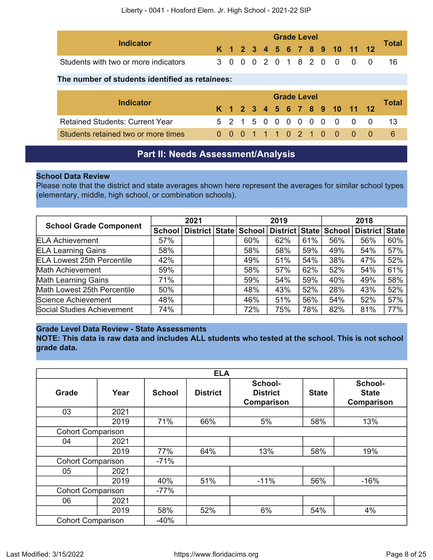| Indicator                            |  |  |  | <b>Grade Level</b> |  |  |                              |              |
|--------------------------------------|--|--|--|--------------------|--|--|------------------------------|--------------|
|                                      |  |  |  |                    |  |  | K 1 2 3 4 5 6 7 8 9 10 11 12 | <b>Total</b> |
| Students with two or more indicators |  |  |  |                    |  |  | 3 0 0 0 2 0 1 8 2 0 0 0 0    |              |

#### **The number of students identified as retainees:**

| Indicator                              | <b>Grade Level</b> |  |  |  |  |  |  |  |  |  |                              |  |              |  |  |
|----------------------------------------|--------------------|--|--|--|--|--|--|--|--|--|------------------------------|--|--------------|--|--|
|                                        |                    |  |  |  |  |  |  |  |  |  | K 1 2 3 4 5 6 7 8 9 10 11 12 |  | <b>Total</b> |  |  |
| <b>Retained Students: Current Year</b> |                    |  |  |  |  |  |  |  |  |  | 5 2 1 5 0 0 0 0 0 0 0 0 0    |  |              |  |  |
| Students retained two or more times    |                    |  |  |  |  |  |  |  |  |  | 0 0 0 1 1 1 0 2 1 0 0 0 0    |  |              |  |  |

# **Part II: Needs Assessment/Analysis**

#### <span id="page-7-0"></span>**School Data Review**

Please note that the district and state averages shown here represent the averages for similar school types (elementary, middle, high school, or combination schools).

| <b>School Grade Component</b>     |     | 2021                                                           | 2019 |     |     | 2018 |                |     |
|-----------------------------------|-----|----------------------------------------------------------------|------|-----|-----|------|----------------|-----|
|                                   |     | School   District   State   School   District   State   School |      |     |     |      | District State |     |
| <b>ELA Achievement</b>            | 57% |                                                                | 60%  | 62% | 61% | 56%  | 56%            | 60% |
| <b>ELA Learning Gains</b>         | 58% |                                                                | 58%  | 58% | 59% | 49%  | 54%            | 57% |
| <b>ELA Lowest 25th Percentile</b> | 42% |                                                                | 49%  | 51% | 54% | 38%  | 47%            | 52% |
| Math Achievement                  | 59% |                                                                | 58%  | 57% | 62% | 52%  | 54%            | 61% |
| <b>Math Learning Gains</b>        | 71% |                                                                | 59%  | 54% | 59% | 40%  | 49%            | 58% |
| Math Lowest 25th Percentile       | 50% |                                                                | 48%  | 43% | 52% | 28%  | 43%            | 52% |
| Science Achievement               | 48% |                                                                | 46%  | 51% | 56% | 54%  | 52%            | 57% |
| Social Studies Achievement        | 74% |                                                                | 72%  | 75% | 78% | 82%  | 81%            | 77% |

#### **Grade Level Data Review - State Assessments**

**NOTE: This data is raw data and includes ALL students who tested at the school. This is not school grade data.**

|                          |      |               | <b>ELA</b>      |                                                 |              |                                              |
|--------------------------|------|---------------|-----------------|-------------------------------------------------|--------------|----------------------------------------------|
| <b>Grade</b>             | Year | <b>School</b> | <b>District</b> | School-<br><b>District</b><br><b>Comparison</b> | <b>State</b> | School-<br><b>State</b><br><b>Comparison</b> |
| 03                       | 2021 |               |                 |                                                 |              |                                              |
|                          | 2019 | 71%           | 66%             | 5%                                              | 58%          | 13%                                          |
| <b>Cohort Comparison</b> |      |               |                 |                                                 |              |                                              |
| 04                       | 2021 |               |                 |                                                 |              |                                              |
|                          | 2019 | 77%           | 64%             | 13%                                             | 58%          | 19%                                          |
| <b>Cohort Comparison</b> |      | $-71%$        |                 |                                                 |              |                                              |
| 05                       | 2021 |               |                 |                                                 |              |                                              |
|                          | 2019 | 40%           | 51%             | $-11%$                                          | 56%          | $-16%$                                       |
| <b>Cohort Comparison</b> |      | $-77%$        |                 |                                                 |              |                                              |
| 06                       | 2021 |               |                 |                                                 |              |                                              |
|                          | 2019 | 58%           | 52%             | 6%                                              | 54%          | 4%                                           |
| <b>Cohort Comparison</b> |      | $-40%$        |                 |                                                 |              |                                              |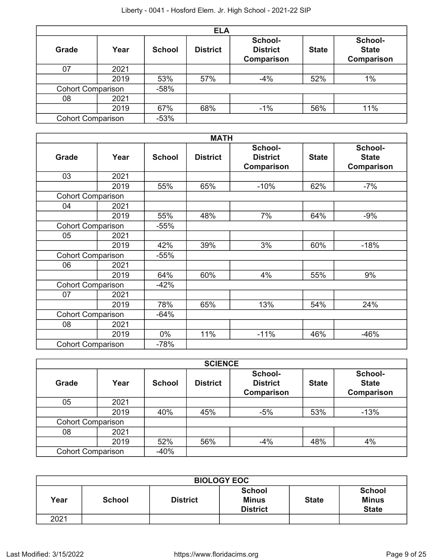|                          | <b>ELA</b> |               |                 |                                          |              |                                       |  |  |  |
|--------------------------|------------|---------------|-----------------|------------------------------------------|--------------|---------------------------------------|--|--|--|
| Grade                    | Year       | <b>School</b> | <b>District</b> | School-<br><b>District</b><br>Comparison | <b>State</b> | School-<br><b>State</b><br>Comparison |  |  |  |
| 07                       | 2021       |               |                 |                                          |              |                                       |  |  |  |
|                          | 2019       | 53%           | 57%             | $-4%$                                    | 52%          | $1\%$                                 |  |  |  |
| <b>Cohort Comparison</b> |            | $-58%$        |                 |                                          |              |                                       |  |  |  |
| 08                       | 2021       |               |                 |                                          |              |                                       |  |  |  |
|                          | 2019       | 67%           | 68%             | $-1%$                                    | 56%          | 11%                                   |  |  |  |
| <b>Cohort Comparison</b> |            | $-53%$        |                 |                                          |              |                                       |  |  |  |

|                          |      |               | <b>MATH</b>     |                                          |              |                                       |
|--------------------------|------|---------------|-----------------|------------------------------------------|--------------|---------------------------------------|
| <b>Grade</b>             | Year | <b>School</b> | <b>District</b> | School-<br><b>District</b><br>Comparison | <b>State</b> | School-<br><b>State</b><br>Comparison |
| 03                       | 2021 |               |                 |                                          |              |                                       |
|                          | 2019 | 55%           | 65%             | $-10%$                                   | 62%          | $-7%$                                 |
| <b>Cohort Comparison</b> |      |               |                 |                                          |              |                                       |
| 04                       | 2021 |               |                 |                                          |              |                                       |
|                          | 2019 | 55%           | 48%             | 7%                                       | 64%          | $-9%$                                 |
| <b>Cohort Comparison</b> |      | $-55%$        |                 |                                          |              |                                       |
| 05                       | 2021 |               |                 |                                          |              |                                       |
|                          | 2019 | 42%           | 39%             | 3%                                       | 60%          | $-18%$                                |
| <b>Cohort Comparison</b> |      | $-55%$        |                 |                                          |              |                                       |
| 06                       | 2021 |               |                 |                                          |              |                                       |
|                          | 2019 | 64%           | 60%             | 4%                                       | 55%          | 9%                                    |
| <b>Cohort Comparison</b> |      | $-42%$        |                 |                                          |              |                                       |
| 07                       | 2021 |               |                 |                                          |              |                                       |
|                          | 2019 | 78%           | 65%             | 13%                                      | 54%          | 24%                                   |
| <b>Cohort Comparison</b> |      | $-64%$        |                 |                                          |              |                                       |
| 08                       | 2021 |               |                 |                                          |              |                                       |
|                          | 2019 | $0\%$         | 11%             | $-11%$                                   | 46%          | $-46%$                                |
| <b>Cohort Comparison</b> |      | $-78%$        |                 |                                          |              |                                       |

| <b>SCIENCE</b>           |      |               |                 |                                                 |              |                                       |  |  |  |
|--------------------------|------|---------------|-----------------|-------------------------------------------------|--------------|---------------------------------------|--|--|--|
| <b>Grade</b>             | Year | <b>School</b> | <b>District</b> | School-<br><b>District</b><br><b>Comparison</b> | <b>State</b> | School-<br><b>State</b><br>Comparison |  |  |  |
| 05                       | 2021 |               |                 |                                                 |              |                                       |  |  |  |
|                          | 2019 | 40%           | 45%             | $-5%$                                           | 53%          | $-13%$                                |  |  |  |
| <b>Cohort Comparison</b> |      |               |                 |                                                 |              |                                       |  |  |  |
| 08                       | 2021 |               |                 |                                                 |              |                                       |  |  |  |
|                          | 2019 | 52%           | 56%             | $-4%$                                           | 48%          | 4%                                    |  |  |  |
| <b>Cohort Comparison</b> |      | $-40%$        |                 |                                                 |              |                                       |  |  |  |

| <b>BIOLOGY EOC</b> |               |                 |                                                  |              |                                               |  |  |  |
|--------------------|---------------|-----------------|--------------------------------------------------|--------------|-----------------------------------------------|--|--|--|
| Year               | <b>School</b> | <b>District</b> | <b>School</b><br><b>Minus</b><br><b>District</b> | <b>State</b> | <b>School</b><br><b>Minus</b><br><b>State</b> |  |  |  |
| 2021               |               |                 |                                                  |              |                                               |  |  |  |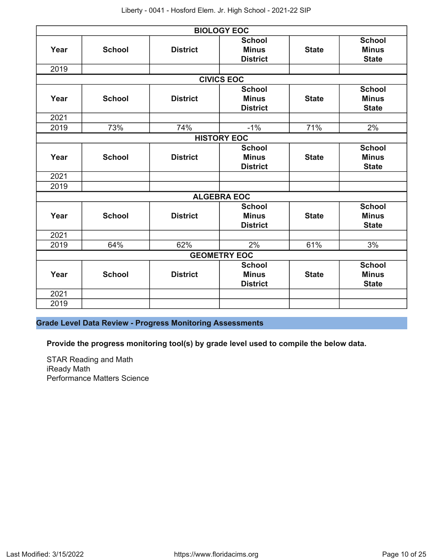|      |               |                 | <b>BIOLOGY EOC</b>                               |              |                                               |
|------|---------------|-----------------|--------------------------------------------------|--------------|-----------------------------------------------|
| Year | <b>School</b> | <b>District</b> | <b>School</b><br><b>Minus</b><br><b>District</b> | <b>State</b> | <b>School</b><br><b>Minus</b><br><b>State</b> |
| 2019 |               |                 |                                                  |              |                                               |
|      |               |                 | <b>CIVICS EOC</b>                                |              |                                               |
| Year | <b>School</b> | <b>District</b> | <b>School</b><br><b>Minus</b><br><b>District</b> | <b>State</b> | <b>School</b><br><b>Minus</b><br><b>State</b> |
| 2021 |               |                 |                                                  |              |                                               |
| 2019 | 73%           | 74%             | $-1%$                                            | 71%          | 2%                                            |
|      |               |                 | <b>HISTORY EOC</b>                               |              |                                               |
| Year | <b>School</b> | <b>District</b> | <b>School</b><br><b>Minus</b><br><b>District</b> | <b>State</b> | <b>School</b><br><b>Minus</b><br><b>State</b> |
| 2021 |               |                 |                                                  |              |                                               |
| 2019 |               |                 |                                                  |              |                                               |
|      |               |                 | <b>ALGEBRA EOC</b>                               |              |                                               |
| Year | <b>School</b> | <b>District</b> | <b>School</b><br><b>Minus</b><br><b>District</b> | <b>State</b> | <b>School</b><br><b>Minus</b><br><b>State</b> |
| 2021 |               |                 |                                                  |              |                                               |
| 2019 | 64%           | 62%             | 2%                                               | 61%          | 3%                                            |
|      |               |                 | <b>GEOMETRY EOC</b>                              |              |                                               |
| Year | <b>School</b> | <b>District</b> | <b>School</b><br><b>Minus</b><br><b>District</b> | <b>State</b> | <b>School</b><br><b>Minus</b><br><b>State</b> |
| 2021 |               |                 |                                                  |              |                                               |
| 2019 |               |                 |                                                  |              |                                               |

**Grade Level Data Review - Progress Monitoring Assessments**

**Provide the progress monitoring tool(s) by grade level used to compile the below data.**

STAR Reading and Math iReady Math Performance Matters Science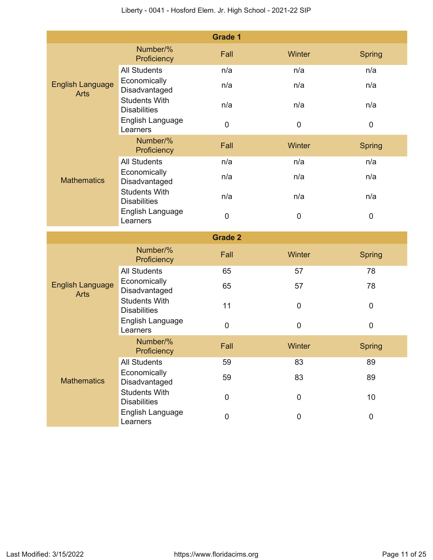|                                        |                                             | <b>Grade 1</b> |           |               |
|----------------------------------------|---------------------------------------------|----------------|-----------|---------------|
|                                        | Number/%<br>Proficiency                     | Fall           | Winter    | <b>Spring</b> |
| <b>English Language</b><br><b>Arts</b> | <b>All Students</b>                         | n/a            | n/a       | n/a           |
|                                        | Economically<br>Disadvantaged               | n/a            | n/a       | n/a           |
|                                        | <b>Students With</b><br><b>Disabilities</b> | n/a            | n/a       | n/a           |
|                                        | English Language<br>Learners                | $\pmb{0}$      | 0         | $\pmb{0}$     |
|                                        | Number/%<br>Proficiency                     | Fall           | Winter    | <b>Spring</b> |
|                                        | <b>All Students</b>                         | n/a            | n/a       | n/a           |
| <b>Mathematics</b>                     | Economically<br>Disadvantaged               | n/a            | n/a       | n/a           |
|                                        | <b>Students With</b><br><b>Disabilities</b> | n/a            | n/a       | n/a           |
|                                        | English Language<br>Learners                | $\mathbf 0$    | $\pmb{0}$ | $\pmb{0}$     |
|                                        |                                             | <b>Grade 2</b> |           |               |
|                                        | Number/%<br>Proficiency                     | Fall           | Winter    | <b>Spring</b> |
|                                        | <b>All Students</b>                         | 65             | 57        | 78            |
| <b>English Language</b><br><b>Arts</b> | Economically<br>Disadvantaged               | 65             | 57        | 78            |
|                                        | <b>Students With</b><br><b>Disabilities</b> | 11             | 0         | $\mathbf 0$   |
|                                        | English Language<br>Learners                | $\mathbf 0$    | 0         | $\mathbf 0$   |
|                                        | Number/%<br>Proficiency                     | Fall           | Winter    | Spring        |
|                                        | <b>All Students</b>                         | 59             | 83        | 89            |
| <b>Mathematics</b>                     | Economically<br>Disadvantaged               | 59             | 83        | 89            |
|                                        | <b>Students With</b><br><b>Disabilities</b> | $\pmb{0}$      | $\pmb{0}$ | 10            |
|                                        | English Language<br>Learners                | 0              | $\pmb{0}$ | $\pmb{0}$     |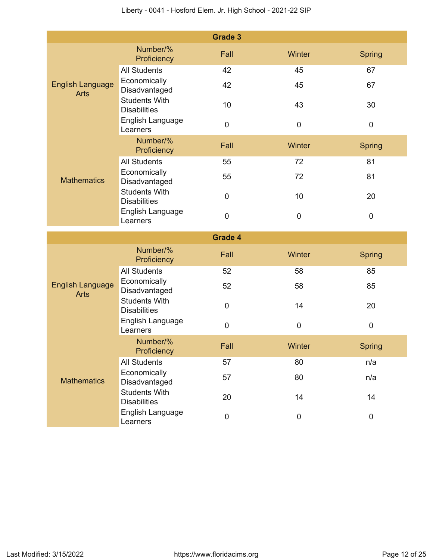|                                        |                                             | <b>Grade 3</b> |             |               |
|----------------------------------------|---------------------------------------------|----------------|-------------|---------------|
|                                        | Number/%<br>Proficiency                     | Fall           | Winter      | <b>Spring</b> |
| <b>English Language</b><br><b>Arts</b> | <b>All Students</b>                         | 42             | 45          | 67            |
|                                        | Economically<br>Disadvantaged               | 42             | 45          | 67            |
|                                        | <b>Students With</b><br><b>Disabilities</b> | 10             | 43          | 30            |
|                                        | English Language<br>Learners                | $\pmb{0}$      | 0           | $\pmb{0}$     |
|                                        | Number/%<br>Proficiency                     | Fall           | Winter      | <b>Spring</b> |
|                                        | <b>All Students</b>                         | 55             | 72          | 81            |
| <b>Mathematics</b>                     | Economically<br>Disadvantaged               | 55             | 72          | 81            |
|                                        | <b>Students With</b><br><b>Disabilities</b> | $\pmb{0}$      | 10          | 20            |
|                                        | English Language<br>Learners                | $\mathbf 0$    | $\pmb{0}$   | $\pmb{0}$     |
|                                        |                                             | <b>Grade 4</b> |             |               |
|                                        | Number/%<br>Proficiency                     | Fall           | Winter      | <b>Spring</b> |
|                                        | <b>All Students</b>                         | 52             | 58          | 85            |
| <b>English Language</b><br><b>Arts</b> | Economically<br>Disadvantaged               | 52             | 58          | 85            |
|                                        | <b>Students With</b><br><b>Disabilities</b> | $\mathbf 0$    | 14          | 20            |
|                                        | English Language<br>Learners                | 0              | $\mathbf 0$ | $\mathbf 0$   |
|                                        | Number/%<br>Proficiency                     | Fall           | Winter      | Spring        |
|                                        | <b>All Students</b>                         | 57             | 80          | n/a           |
| <b>Mathematics</b>                     | Economically<br>Disadvantaged               | 57             | 80          | n/a           |
|                                        | <b>Students With</b><br><b>Disabilities</b> | 20             | 14          | 14            |
|                                        | English Language<br>Learners                | $\pmb{0}$      | 0           | $\pmb{0}$     |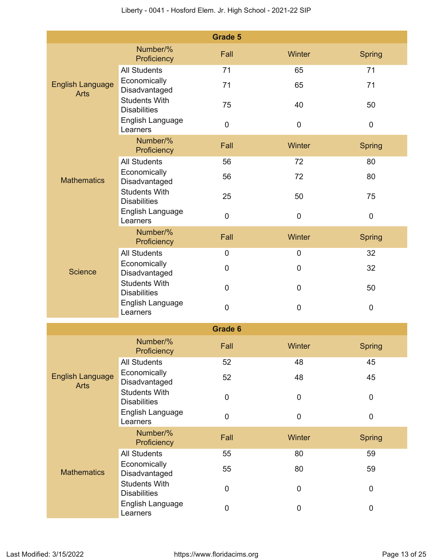|                                        |                                             | <b>Grade 5</b> |             |               |
|----------------------------------------|---------------------------------------------|----------------|-------------|---------------|
|                                        | Number/%<br>Proficiency                     | Fall           | Winter      | Spring        |
| <b>English Language</b><br><b>Arts</b> | <b>All Students</b>                         | 71             | 65          | 71            |
|                                        | Economically<br>Disadvantaged               | 71             | 65          | 71            |
|                                        | <b>Students With</b><br><b>Disabilities</b> | 75             | 40          | 50            |
|                                        | English Language<br>Learners                | $\pmb{0}$      | $\mathbf 0$ | $\pmb{0}$     |
|                                        | Number/%<br>Proficiency                     | Fall           | Winter      | <b>Spring</b> |
|                                        | <b>All Students</b>                         | 56             | 72          | 80            |
| <b>Mathematics</b>                     | Economically<br>Disadvantaged               | 56             | 72          | 80            |
|                                        | <b>Students With</b><br><b>Disabilities</b> | 25             | 50          | 75            |
|                                        | English Language<br>Learners                | $\pmb{0}$      | $\mathbf 0$ | $\mathbf 0$   |
|                                        | Number/%<br>Proficiency                     | Fall           | Winter      | <b>Spring</b> |
|                                        | <b>All Students</b>                         | $\mathbf 0$    | 0           | 32            |
| Science                                | Economically<br>Disadvantaged               | 0              | 0           | 32            |
|                                        | <b>Students With</b><br><b>Disabilities</b> | $\mathbf 0$    | $\mathbf 0$ | 50            |
|                                        | English Language<br>Learners                | $\pmb{0}$      | $\pmb{0}$   | $\pmb{0}$     |
|                                        |                                             | <b>Grade 6</b> |             |               |
|                                        | Number/%<br>Proficiency                     | Fall           | Winter      | <b>Spring</b> |
|                                        | <b>All Students</b>                         | 52             | 48          | 45            |
| <b>English Language</b><br><b>Arts</b> | Economically<br>Disadvantaged               | 52             | 48          | 45            |
|                                        | <b>Students With</b><br><b>Disabilities</b> | $\pmb{0}$      | 0           | $\pmb{0}$     |
|                                        | English Language<br>Learners                | $\pmb{0}$      | $\mathbf 0$ | $\pmb{0}$     |
|                                        | Number/%<br>Proficiency                     | Fall           | Winter      | <b>Spring</b> |
|                                        | <b>All Students</b>                         | 55             | 80          | 59            |
| <b>Mathematics</b>                     | Economically<br>Disadvantaged               | 55             | 80          | 59            |
|                                        | <b>Students With</b><br><b>Disabilities</b> | $\pmb{0}$      | $\mathbf 0$ | $\mathbf 0$   |
|                                        | English Language<br>Learners                | $\pmb{0}$      | 0           | $\pmb{0}$     |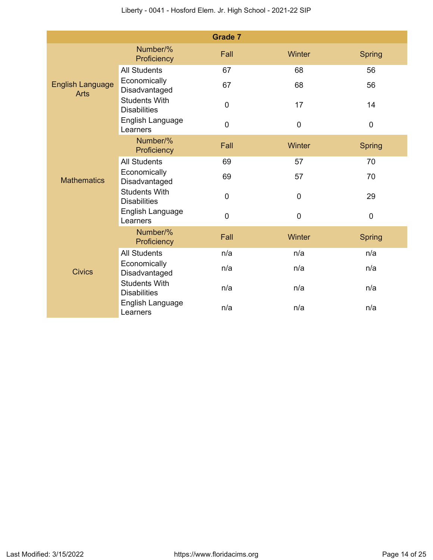|                                        |                                             | <b>Grade 7</b> |             |               |
|----------------------------------------|---------------------------------------------|----------------|-------------|---------------|
|                                        | Number/%<br>Proficiency                     | Fall           | Winter      | <b>Spring</b> |
| <b>English Language</b><br><b>Arts</b> | <b>All Students</b>                         | 67             | 68          | 56            |
|                                        | Economically<br>Disadvantaged               | 67             | 68          | 56            |
|                                        | <b>Students With</b><br><b>Disabilities</b> | $\pmb{0}$      | 17          | 14            |
|                                        | English Language<br>Learners                | $\mathbf 0$    | $\mathbf 0$ | $\mathbf 0$   |
|                                        | Number/%<br>Proficiency                     | Fall           | Winter      | <b>Spring</b> |
|                                        | <b>All Students</b>                         | 69             | 57          | 70            |
| <b>Mathematics</b>                     | Economically<br>Disadvantaged               | 69             | 57          | 70            |
|                                        | <b>Students With</b><br><b>Disabilities</b> | $\mathbf 0$    | $\mathbf 0$ | 29            |
|                                        | English Language<br>Learners                | $\overline{0}$ | $\mathbf 0$ | $\mathbf 0$   |
|                                        | Number/%<br>Proficiency                     | Fall           | Winter      | <b>Spring</b> |
|                                        | <b>All Students</b>                         | n/a            | n/a         | n/a           |
| <b>Civics</b>                          | Economically<br>Disadvantaged               | n/a            | n/a         | n/a           |
|                                        | <b>Students With</b><br><b>Disabilities</b> | n/a            | n/a         | n/a           |
|                                        | English Language<br>Learners                | n/a            | n/a         | n/a           |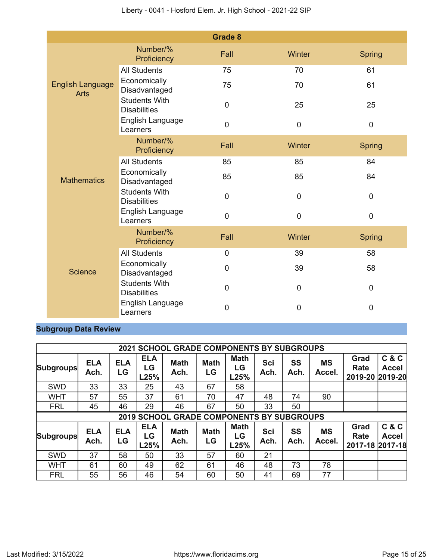|                                        |                                             | <b>Grade 8</b> |                |                |
|----------------------------------------|---------------------------------------------|----------------|----------------|----------------|
|                                        | Number/%<br>Proficiency                     | Fall           | Winter         | <b>Spring</b>  |
|                                        | <b>All Students</b>                         | 75             | 70             | 61             |
| <b>English Language</b><br><b>Arts</b> | Economically<br>Disadvantaged               | 75             | 70             | 61             |
|                                        | <b>Students With</b><br><b>Disabilities</b> | $\pmb{0}$      | 25             | 25             |
|                                        | English Language<br>Learners                | $\mathbf 0$    | $\mathbf 0$    | $\mathbf 0$    |
|                                        | Number/%<br>Proficiency                     | Fall           | Winter         | <b>Spring</b>  |
|                                        | <b>All Students</b>                         | 85             | 85             | 84             |
| <b>Mathematics</b>                     | Economically<br>Disadvantaged               | 85             | 85             | 84             |
|                                        | <b>Students With</b><br><b>Disabilities</b> | $\overline{0}$ | $\mathbf 0$    | $\overline{0}$ |
|                                        | English Language<br>Learners                | $\mathbf 0$    | $\mathbf 0$    | $\mathbf 0$    |
|                                        | Number/%<br>Proficiency                     | Fall           | Winter         | <b>Spring</b>  |
|                                        | <b>All Students</b>                         | $\mathbf 0$    | 39             | 58             |
| <b>Science</b>                         | Economically<br>Disadvantaged               | $\mathbf 0$    | 39             | 58             |
|                                        | <b>Students With</b><br><b>Disabilities</b> | $\overline{0}$ | $\mathbf 0$    | $\mathbf 0$    |
|                                        | English Language<br>Learners                | 0              | $\overline{0}$ | $\overline{0}$ |

# **Subgroup Data Review**

| <b>2021 SCHOOL GRADE COMPONENTS BY SUBGROUPS</b> |                                                  |                  |                          |                     |                   |                           |             |            |                     |                                 |                                      |
|--------------------------------------------------|--------------------------------------------------|------------------|--------------------------|---------------------|-------------------|---------------------------|-------------|------------|---------------------|---------------------------------|--------------------------------------|
| <b>Subgroups</b>                                 | <b>ELA</b><br>Ach.                               | <b>ELA</b><br>LG | <b>ELA</b><br>LG<br>L25% | <b>Math</b><br>Ach. | <b>Math</b><br>LG | <b>Math</b><br>LG<br>L25% | Sci<br>Ach. | SS<br>Ach. | <b>MS</b><br>Accel. | Grad<br>Rate<br>2019-20         | C & C<br><b>Accel</b><br>$ 2019-20 $ |
| <b>SWD</b>                                       | 33                                               | 33               | 25                       | 43                  | 67                | 58                        |             |            |                     |                                 |                                      |
| <b>WHT</b>                                       | 57                                               | 55               | 37                       | 61                  | 70                | 47                        | 48          | 74         | 90                  |                                 |                                      |
| <b>FRL</b>                                       | 45                                               | 46               | 29                       | 46                  | 67                | 50                        | 33          | 50         |                     |                                 |                                      |
|                                                  | <b>2019 SCHOOL GRADE COMPONENTS BY SUBGROUPS</b> |                  |                          |                     |                   |                           |             |            |                     |                                 |                                      |
|                                                  |                                                  |                  |                          |                     |                   |                           |             |            |                     |                                 |                                      |
| Subgroups                                        | <b>ELA</b><br>Ach.                               | <b>ELA</b><br>LG | <b>ELA</b><br>LG<br>L25% | <b>Math</b><br>Ach. | <b>Math</b><br>LG | <b>Math</b><br>LG<br>L25% | Sci<br>Ach. | SS<br>Ach. | <b>MS</b><br>Accel. | Grad<br>Rate<br>2017-18 2017-18 | C&C<br><b>Accel</b>                  |
| <b>SWD</b>                                       | 37                                               | 58               | 50                       | 33                  | 57                | 60                        | 21          |            |                     |                                 |                                      |
| <b>WHT</b>                                       | 61                                               | 60               | 49                       | 62                  | 61                | 46                        | 48          | 73         | 78                  |                                 |                                      |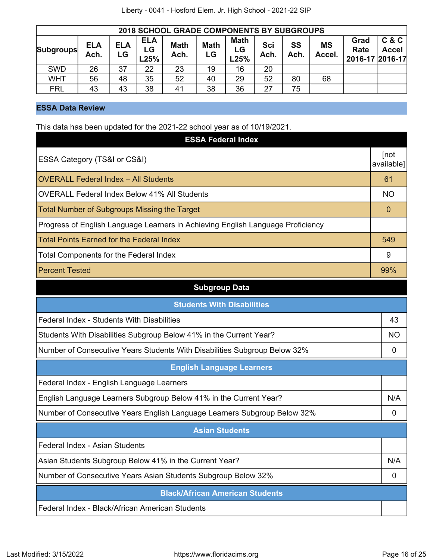| <b>2018 SCHOOL GRADE COMPONENTS BY SUBGROUPS</b>                                                                                                                                                                       |    |    |    |    |    |    |    |                                 |                       |  |  |
|------------------------------------------------------------------------------------------------------------------------------------------------------------------------------------------------------------------------|----|----|----|----|----|----|----|---------------------------------|-----------------------|--|--|
| <b>ELA</b><br><b>Math</b><br>SS<br><b>Math</b><br>Sci<br><b>MS</b><br><b>ELA</b><br><b>Math</b><br><b>ELA</b><br><b>Subgroups</b><br>LG.<br>LG<br>Ach.<br>Ach.<br>Ach.<br>Ach.<br>Accel.<br>LG<br>LG<br>L25%<br>$-25%$ |    |    |    |    |    |    |    | Grad<br>Rate<br>2016-17 2016-17 | C & C<br><b>Accel</b> |  |  |
| <b>SWD</b>                                                                                                                                                                                                             | 26 | 37 | 22 | 23 | 19 | 16 | 20 |                                 |                       |  |  |
| <b>WHT</b>                                                                                                                                                                                                             | 56 | 48 | 35 | 52 | 40 | 29 | 52 | 80                              | 68                    |  |  |
| <b>FRL</b>                                                                                                                                                                                                             | 43 | 43 | 38 | 41 | 38 | 36 | 27 | 75                              |                       |  |  |

# **ESSA Data Review**

This data has been updated for the 2021-22 school year as of 10/19/2021.

| <b>ESSA Federal Index</b>                                                       |                    |  |  |  |  |
|---------------------------------------------------------------------------------|--------------------|--|--|--|--|
| ESSA Category (TS&I or CS&I)                                                    | [not<br>available] |  |  |  |  |
| <b>OVERALL Federal Index - All Students</b>                                     | 61                 |  |  |  |  |
| <b>OVERALL Federal Index Below 41% All Students</b>                             | <b>NO</b>          |  |  |  |  |
| <b>Total Number of Subgroups Missing the Target</b>                             | $\mathbf 0$        |  |  |  |  |
| Progress of English Language Learners in Achieving English Language Proficiency |                    |  |  |  |  |
| <b>Total Points Earned for the Federal Index</b>                                | 549                |  |  |  |  |
| <b>Total Components for the Federal Index</b>                                   | 9                  |  |  |  |  |
| <b>Percent Tested</b>                                                           | 99%                |  |  |  |  |
| <b>Subgroup Data</b>                                                            |                    |  |  |  |  |
| <b>Students With Disabilities</b>                                               |                    |  |  |  |  |
| Federal Index - Students With Disabilities                                      |                    |  |  |  |  |
| Students With Disabilities Subgroup Below 41% in the Current Year?              | <b>NO</b>          |  |  |  |  |
| Number of Consecutive Years Students With Disabilities Subgroup Below 32%       |                    |  |  |  |  |
| <b>English Language Learners</b>                                                |                    |  |  |  |  |
| Federal Index - English Language Learners                                       |                    |  |  |  |  |
| English Language Learners Subgroup Below 41% in the Current Year?               |                    |  |  |  |  |
| Number of Consecutive Years English Language Learners Subgroup Below 32%        |                    |  |  |  |  |
| <b>Asian Students</b>                                                           |                    |  |  |  |  |
| Federal Index - Asian Students                                                  |                    |  |  |  |  |
| Asian Students Subgroup Below 41% in the Current Year?                          | N/A                |  |  |  |  |
| Number of Consecutive Years Asian Students Subgroup Below 32%                   | 0                  |  |  |  |  |
| <b>Black/African American Students</b>                                          |                    |  |  |  |  |
| Federal Index - Black/African American Students                                 |                    |  |  |  |  |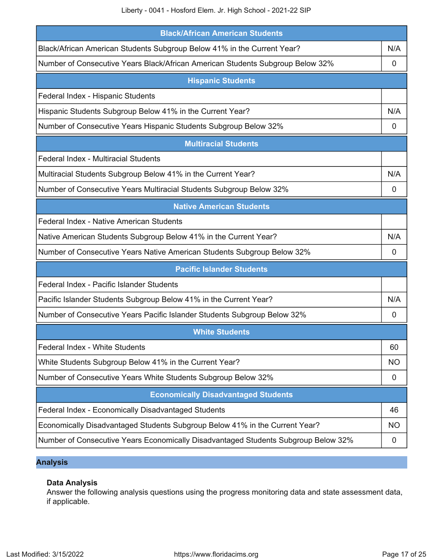Liberty - 0041 - Hosford Elem. Jr. High School - 2021-22 SIP

| <b>Black/African American Students</b>                                             |             |  |  |  |  |
|------------------------------------------------------------------------------------|-------------|--|--|--|--|
| Black/African American Students Subgroup Below 41% in the Current Year?            | N/A         |  |  |  |  |
| Number of Consecutive Years Black/African American Students Subgroup Below 32%     |             |  |  |  |  |
| <b>Hispanic Students</b>                                                           |             |  |  |  |  |
| Federal Index - Hispanic Students                                                  |             |  |  |  |  |
| Hispanic Students Subgroup Below 41% in the Current Year?                          | N/A         |  |  |  |  |
| Number of Consecutive Years Hispanic Students Subgroup Below 32%                   | 0           |  |  |  |  |
| <b>Multiracial Students</b>                                                        |             |  |  |  |  |
| Federal Index - Multiracial Students                                               |             |  |  |  |  |
| Multiracial Students Subgroup Below 41% in the Current Year?                       | N/A         |  |  |  |  |
| Number of Consecutive Years Multiracial Students Subgroup Below 32%                | $\mathbf 0$ |  |  |  |  |
| <b>Native American Students</b>                                                    |             |  |  |  |  |
| Federal Index - Native American Students                                           |             |  |  |  |  |
| Native American Students Subgroup Below 41% in the Current Year?                   |             |  |  |  |  |
| Number of Consecutive Years Native American Students Subgroup Below 32%            | 0           |  |  |  |  |
| <b>Pacific Islander Students</b>                                                   |             |  |  |  |  |
| Federal Index - Pacific Islander Students                                          |             |  |  |  |  |
| Pacific Islander Students Subgroup Below 41% in the Current Year?                  | N/A         |  |  |  |  |
| Number of Consecutive Years Pacific Islander Students Subgroup Below 32%           | 0           |  |  |  |  |
| <b>White Students</b>                                                              |             |  |  |  |  |
| <b>Federal Index - White Students</b>                                              | 60          |  |  |  |  |
| White Students Subgroup Below 41% in the Current Year?                             | <b>NO</b>   |  |  |  |  |
| Number of Consecutive Years White Students Subgroup Below 32%                      | 0           |  |  |  |  |
| <b>Economically Disadvantaged Students</b>                                         |             |  |  |  |  |
| Federal Index - Economically Disadvantaged Students                                | 46          |  |  |  |  |
| Economically Disadvantaged Students Subgroup Below 41% in the Current Year?        | <b>NO</b>   |  |  |  |  |
| Number of Consecutive Years Economically Disadvantaged Students Subgroup Below 32% | 0           |  |  |  |  |

# **Analysis**

## **Data Analysis**

Answer the following analysis questions using the progress monitoring data and state assessment data, if applicable.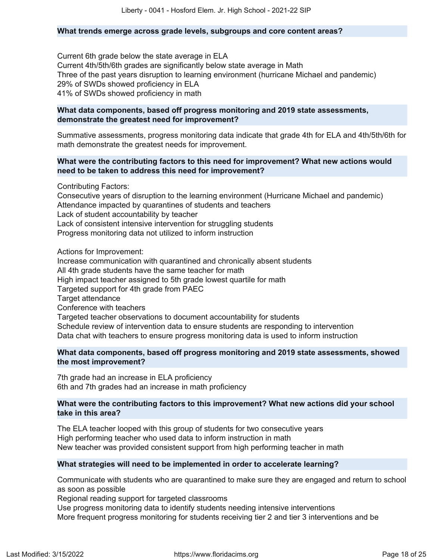#### **What trends emerge across grade levels, subgroups and core content areas?**

Current 6th grade below the state average in ELA Current 4th/5th/6th grades are significantly below state average in Math Three of the past years disruption to learning environment (hurricane Michael and pandemic) 29% of SWDs showed proficiency in ELA 41% of SWDs showed proficiency in math

#### **What data components, based off progress monitoring and 2019 state assessments, demonstrate the greatest need for improvement?**

Summative assessments, progress monitoring data indicate that grade 4th for ELA and 4th/5th/6th for math demonstrate the greatest needs for improvement.

#### **What were the contributing factors to this need for improvement? What new actions would need to be taken to address this need for improvement?**

Contributing Factors:

Consecutive years of disruption to the learning environment (Hurricane Michael and pandemic) Attendance impacted by quarantines of students and teachers Lack of student accountability by teacher Lack of consistent intensive intervention for struggling students Progress monitoring data not utilized to inform instruction

Actions for Improvement:

Increase communication with quarantined and chronically absent students All 4th grade students have the same teacher for math High impact teacher assigned to 5th grade lowest quartile for math Targeted support for 4th grade from PAEC Target attendance Conference with teachers Targeted teacher observations to document accountability for students Schedule review of intervention data to ensure students are responding to intervention Data chat with teachers to ensure progress monitoring data is used to inform instruction

#### **What data components, based off progress monitoring and 2019 state assessments, showed the most improvement?**

7th grade had an increase in ELA proficiency 6th and 7th grades had an increase in math proficiency

#### **What were the contributing factors to this improvement? What new actions did your school take in this area?**

The ELA teacher looped with this group of students for two consecutive years High performing teacher who used data to inform instruction in math New teacher was provided consistent support from high performing teacher in math

#### **What strategies will need to be implemented in order to accelerate learning?**

Communicate with students who are quarantined to make sure they are engaged and return to school as soon as possible

Regional reading support for targeted classrooms

Use progress monitoring data to identify students needing intensive interventions More frequent progress monitoring for students receiving tier 2 and tier 3 interventions and be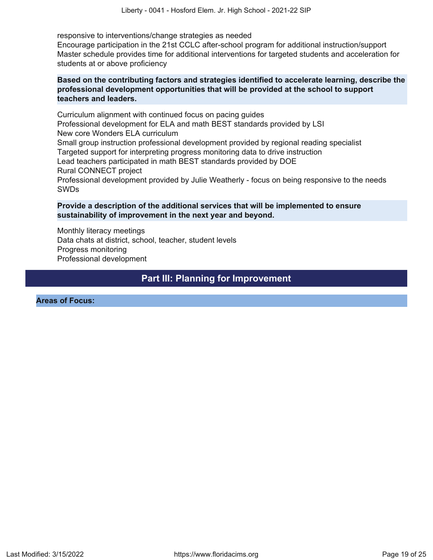responsive to interventions/change strategies as needed

Encourage participation in the 21st CCLC after-school program for additional instruction/support Master schedule provides time for additional interventions for targeted students and acceleration for students at or above proficiency

#### **Based on the contributing factors and strategies identified to accelerate learning, describe the professional development opportunities that will be provided at the school to support teachers and leaders.**

Curriculum alignment with continued focus on pacing guides Professional development for ELA and math BEST standards provided by LSI New core Wonders ELA curriculum Small group instruction professional development provided by regional reading specialist Targeted support for interpreting progress monitoring data to drive instruction Lead teachers participated in math BEST standards provided by DOE Rural CONNECT project Professional development provided by Julie Weatherly - focus on being responsive to the needs SWDs

#### **Provide a description of the additional services that will be implemented to ensure sustainability of improvement in the next year and beyond.**

Monthly literacy meetings Data chats at district, school, teacher, student levels Progress monitoring Professional development

# **Part III: Planning for Improvement**

<span id="page-18-0"></span>**Areas of Focus:**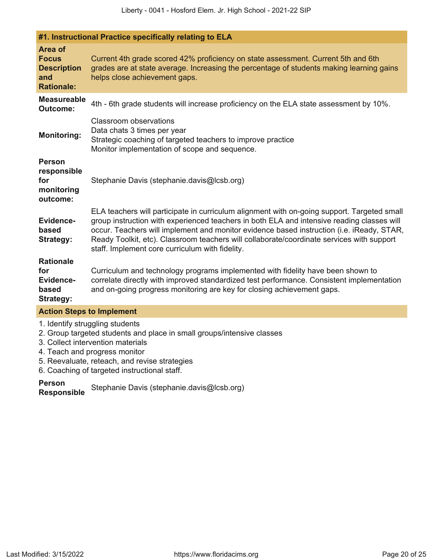|                                                                           | #1. Instructional Practice specifically relating to ELA                                                                                                                                                                                                                                                                                                                                                                                |
|---------------------------------------------------------------------------|----------------------------------------------------------------------------------------------------------------------------------------------------------------------------------------------------------------------------------------------------------------------------------------------------------------------------------------------------------------------------------------------------------------------------------------|
| Area of<br><b>Focus</b><br><b>Description</b><br>and<br><b>Rationale:</b> | Current 4th grade scored 42% proficiency on state assessment. Current 5th and 6th<br>grades are at state average. Increasing the percentage of students making learning gains<br>helps close achievement gaps.                                                                                                                                                                                                                         |
| <b>Measureable</b><br><b>Outcome:</b>                                     | 4th - 6th grade students will increase proficiency on the ELA state assessment by 10%.                                                                                                                                                                                                                                                                                                                                                 |
| <b>Monitoring:</b>                                                        | <b>Classroom observations</b><br>Data chats 3 times per year<br>Strategic coaching of targeted teachers to improve practice<br>Monitor implementation of scope and sequence.                                                                                                                                                                                                                                                           |
| <b>Person</b><br>responsible<br>for<br>monitoring<br>outcome:             | Stephanie Davis (stephanie.davis@lcsb.org)                                                                                                                                                                                                                                                                                                                                                                                             |
| Evidence-<br>based<br><b>Strategy:</b>                                    | ELA teachers will participate in curriculum alignment with on-going support. Targeted small<br>group instruction with experienced teachers in both ELA and intensive reading classes will<br>occur. Teachers will implement and monitor evidence based instruction (i.e. iReady, STAR,<br>Ready Toolkit, etc). Classroom teachers will collaborate/coordinate services with support<br>staff. Implement core curriculum with fidelity. |
| <b>Rationale</b><br>for<br>Evidence-<br>based<br><b>Strategy:</b>         | Curriculum and technology programs implemented with fidelity have been shown to<br>correlate directly with improved standardized test performance. Consistent implementation<br>and on-going progress monitoring are key for closing achievement gaps.                                                                                                                                                                                 |
| <b>Action Steps to Implement</b>                                          |                                                                                                                                                                                                                                                                                                                                                                                                                                        |
|                                                                           | 1. Identify struggling students                                                                                                                                                                                                                                                                                                                                                                                                        |

- 2. Group targeted students and place in small groups/intensive classes
- 3. Collect intervention materials
- 4. Teach and progress monitor
- 5. Reevaluate, reteach, and revise strategies

6. Coaching of targeted instructional staff.

**Person**

**Responsible** Stephanie Davis (stephanie.davis@lcsb.org)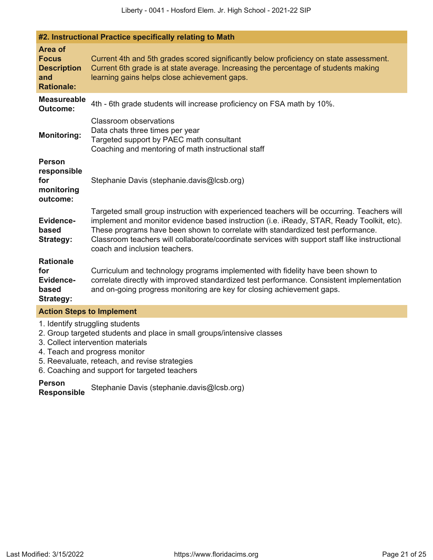|                                                                           | #2. Instructional Practice specifically relating to Math                                                                                                                                                                                                                                                                                                                                                      |
|---------------------------------------------------------------------------|---------------------------------------------------------------------------------------------------------------------------------------------------------------------------------------------------------------------------------------------------------------------------------------------------------------------------------------------------------------------------------------------------------------|
| Area of<br><b>Focus</b><br><b>Description</b><br>and<br><b>Rationale:</b> | Current 4th and 5th grades scored significantly below proficiency on state assessment.<br>Current 6th grade is at state average. Increasing the percentage of students making<br>learning gains helps close achievement gaps.                                                                                                                                                                                 |
| <b>Measureable</b><br><b>Outcome:</b>                                     | 4th - 6th grade students will increase proficiency on FSA math by 10%.                                                                                                                                                                                                                                                                                                                                        |
| <b>Monitoring:</b>                                                        | <b>Classroom observations</b><br>Data chats three times per year<br>Targeted support by PAEC math consultant<br>Coaching and mentoring of math instructional staff                                                                                                                                                                                                                                            |
| <b>Person</b><br>responsible<br>for<br>monitoring<br>outcome:             | Stephanie Davis (stephanie.davis@lcsb.org)                                                                                                                                                                                                                                                                                                                                                                    |
| Evidence-<br>based<br><b>Strategy:</b>                                    | Targeted small group instruction with experienced teachers will be occurring. Teachers will<br>implement and monitor evidence based instruction (i.e. iReady, STAR, Ready Toolkit, etc).<br>These programs have been shown to correlate with standardized test performance.<br>Classroom teachers will collaborate/coordinate services with support staff like instructional<br>coach and inclusion teachers. |
| <b>Rationale</b><br>for<br>Evidence-<br>based<br>Strategy:                | Curriculum and technology programs implemented with fidelity have been shown to<br>correlate directly with improved standardized test performance. Consistent implementation<br>and on-going progress monitoring are key for closing achievement gaps.                                                                                                                                                        |
| <b>Action Steps to Implement</b>                                          |                                                                                                                                                                                                                                                                                                                                                                                                               |
|                                                                           | 1. Identify struggling students                                                                                                                                                                                                                                                                                                                                                                               |

- 2. Group targeted students and place in small groups/intensive classes
- 3. Collect intervention materials
- 4. Teach and progress monitor
- 5. Reevaluate, reteach, and revise strategies

6. Coaching and support for targeted teachers

**Person**

**Responsible** Stephanie Davis (stephanie.davis@lcsb.org)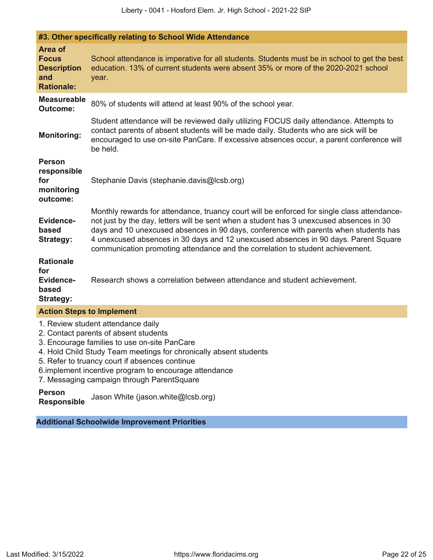| #3. Other specifically relating to School Wide Attendance                 |                                                                                                                                                                                                                                                                                                                                                                                                                                                         |  |  |  |  |  |
|---------------------------------------------------------------------------|---------------------------------------------------------------------------------------------------------------------------------------------------------------------------------------------------------------------------------------------------------------------------------------------------------------------------------------------------------------------------------------------------------------------------------------------------------|--|--|--|--|--|
| Area of<br><b>Focus</b><br><b>Description</b><br>and<br><b>Rationale:</b> | School attendance is imperative for all students. Students must be in school to get the best<br>education. 13% of current students were absent 35% or more of the 2020-2021 school<br>year.                                                                                                                                                                                                                                                             |  |  |  |  |  |
| <b>Measureable</b><br><b>Outcome:</b>                                     | 80% of students will attend at least 90% of the school year.                                                                                                                                                                                                                                                                                                                                                                                            |  |  |  |  |  |
| <b>Monitoring:</b>                                                        | Student attendance will be reviewed daily utilizing FOCUS daily attendance. Attempts to<br>contact parents of absent students will be made daily. Students who are sick will be<br>encouraged to use on-site PanCare. If excessive absences occur, a parent conference will<br>be held.                                                                                                                                                                 |  |  |  |  |  |
| <b>Person</b><br>responsible<br>for<br>monitoring<br>outcome:             | Stephanie Davis (stephanie.davis@lcsb.org)                                                                                                                                                                                                                                                                                                                                                                                                              |  |  |  |  |  |
| Evidence-<br>based<br><b>Strategy:</b>                                    | Monthly rewards for attendance, truancy court will be enforced for single class attendance-<br>not just by the day, letters will be sent when a student has 3 unexcused absences in 30<br>days and 10 unexcused absences in 90 days, conference with parents when students has<br>4 unexcused absences in 30 days and 12 unexcused absences in 90 days. Parent Square<br>communication promoting attendance and the correlation to student achievement. |  |  |  |  |  |
| <b>Rationale</b><br>for<br>Evidence-<br>based<br><b>Strategy:</b>         | Research shows a correlation between attendance and student achievement.                                                                                                                                                                                                                                                                                                                                                                                |  |  |  |  |  |
| <b>Action Steps to Implement</b>                                          |                                                                                                                                                                                                                                                                                                                                                                                                                                                         |  |  |  |  |  |
|                                                                           | 1. Review student attendance daily                                                                                                                                                                                                                                                                                                                                                                                                                      |  |  |  |  |  |

- 2. Contact parents of absent students
- 3. Encourage families to use on-site PanCare
- 4. Hold Child Study Team meetings for chronically absent students
- 5. Refer to truancy court if absences continue
- 6.implement incentive program to encourage attendance
- 7. Messaging campaign through ParentSquare

#### **Person**

**Responsible** Jason White (jason.white@lcsb.org)

**Additional Schoolwide Improvement Priorities**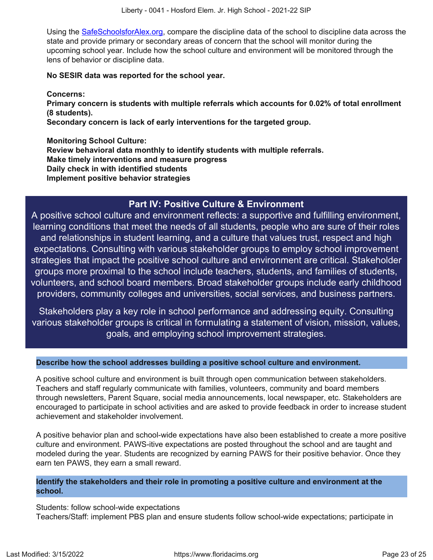Using the [SafeSchoolsforAlex.org](https://www.safeschoolsforalex.org/fl-school-safety-dashboard/), compare the discipline data of the school to discipline data across the state and provide primary or secondary areas of concern that the school will monitor during the upcoming school year. Include how the school culture and environment will be monitored through the lens of behavior or discipline data.

#### **No SESIR data was reported for the school year.**

**Concerns:**

**Primary concern is students with multiple referrals which accounts for 0.02% of total enrollment (8 students).**

**Secondary concern is lack of early interventions for the targeted group.**

**Monitoring School Culture: Review behavioral data monthly to identify students with multiple referrals. Make timely interventions and measure progress Daily check in with identified students Implement positive behavior strategies**

# **Part IV: Positive Culture & Environment**

<span id="page-22-0"></span>A positive school culture and environment reflects: a supportive and fulfilling environment, learning conditions that meet the needs of all students, people who are sure of their roles and relationships in student learning, and a culture that values trust, respect and high expectations. Consulting with various stakeholder groups to employ school improvement strategies that impact the positive school culture and environment are critical. Stakeholder groups more proximal to the school include teachers, students, and families of students, volunteers, and school board members. Broad stakeholder groups include early childhood providers, community colleges and universities, social services, and business partners.

Stakeholders play a key role in school performance and addressing equity. Consulting various stakeholder groups is critical in formulating a statement of vision, mission, values, goals, and employing school improvement strategies.

#### **Describe how the school addresses building a positive school culture and environment.**

A positive school culture and environment is built through open communication between stakeholders. Teachers and staff regularly communicate with families, volunteers, community and board members through newsletters, Parent Square, social media announcements, local newspaper, etc. Stakeholders are encouraged to participate in school activities and are asked to provide feedback in order to increase student achievement and stakeholder involvement.

A positive behavior plan and school-wide expectations have also been established to create a more positive culture and environment. PAWS-itive expectations are posted throughout the school and are taught and modeled during the year. Students are recognized by earning PAWS for their positive behavior. Once they earn ten PAWS, they earn a small reward.

#### **Identify the stakeholders and their role in promoting a positive culture and environment at the school.**

Students: follow school-wide expectations Teachers/Staff: implement PBS plan and ensure students follow school-wide expectations; participate in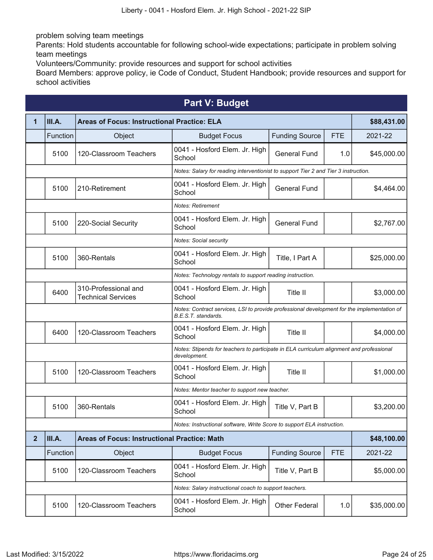problem solving team meetings

Parents: Hold students accountable for following school-wide expectations; participate in problem solving team meetings

Volunteers/Community: provide resources and support for school activities

Board Members: approve policy, ie Code of Conduct, Student Handbook; provide resources and support for school activities

<span id="page-23-0"></span>

|                | <b>Part V: Budget</b> |                                                     |                                                                                                                    |                                                                                     |            |             |  |  |  |  |
|----------------|-----------------------|-----------------------------------------------------|--------------------------------------------------------------------------------------------------------------------|-------------------------------------------------------------------------------------|------------|-------------|--|--|--|--|
| 1              | III.A.                | <b>Areas of Focus: Instructional Practice: ELA</b>  |                                                                                                                    |                                                                                     |            | \$88,431.00 |  |  |  |  |
|                | Function              | Object                                              | <b>Budget Focus</b>                                                                                                | <b>Funding Source</b>                                                               | <b>FTE</b> | 2021-22     |  |  |  |  |
|                | 5100                  | 120-Classroom Teachers                              | 0041 - Hosford Elem. Jr. High<br>School                                                                            | <b>General Fund</b>                                                                 | 1.0        | \$45,000.00 |  |  |  |  |
|                |                       |                                                     |                                                                                                                    | Notes: Salary for reading interventionist to support Tier 2 and Tier 3 instruction. |            |             |  |  |  |  |
|                | 5100                  | 210-Retirement                                      | 0041 - Hosford Elem. Jr. High<br>School                                                                            | <b>General Fund</b>                                                                 |            | \$4,464.00  |  |  |  |  |
|                |                       |                                                     | <b>Notes: Retirement</b>                                                                                           |                                                                                     |            |             |  |  |  |  |
|                | 5100                  | 220-Social Security                                 | 0041 - Hosford Elem. Jr. High<br>School                                                                            | <b>General Fund</b>                                                                 |            | \$2,767.00  |  |  |  |  |
|                |                       |                                                     | <b>Notes: Social security</b>                                                                                      |                                                                                     |            |             |  |  |  |  |
|                | 5100                  | 360-Rentals                                         | 0041 - Hosford Elem. Jr. High<br>School                                                                            | Title, I Part A                                                                     |            | \$25,000.00 |  |  |  |  |
|                |                       |                                                     | Notes: Technology rentals to support reading instruction.                                                          |                                                                                     |            |             |  |  |  |  |
|                | 6400                  | 310-Professional and<br><b>Technical Services</b>   | 0041 - Hosford Elem. Jr. High<br>School                                                                            | Title II                                                                            |            | \$3,000.00  |  |  |  |  |
|                |                       |                                                     | Notes: Contract services, LSI to provide professional development for the implementation of<br>B.E.S.T. standards. |                                                                                     |            |             |  |  |  |  |
|                | 6400                  | 120-Classroom Teachers                              | 0041 - Hosford Elem. Jr. High<br>School                                                                            | Title II                                                                            |            | \$4,000.00  |  |  |  |  |
|                |                       |                                                     | Notes: Stipends for teachers to participate in ELA curriculum alignment and professional<br>development.           |                                                                                     |            |             |  |  |  |  |
|                | 5100                  | 120-Classroom Teachers                              | 0041 - Hosford Elem. Jr. High<br>School                                                                            | Title II                                                                            |            | \$1,000.00  |  |  |  |  |
|                |                       |                                                     | Notes: Mentor teacher to support new teacher.                                                                      |                                                                                     |            |             |  |  |  |  |
|                | 5100                  | 360-Rentals                                         | 0041 - Hosford Elem. Jr. High<br>School                                                                            | Title V, Part B                                                                     |            | \$3,200.00  |  |  |  |  |
|                |                       |                                                     | Notes: Instructional software, Write Score to support ELA instruction.                                             |                                                                                     |            |             |  |  |  |  |
| $\overline{2}$ | III.A.                | <b>Areas of Focus: Instructional Practice: Math</b> | \$48,100.00                                                                                                        |                                                                                     |            |             |  |  |  |  |
|                | Function              | Object                                              | <b>Budget Focus</b>                                                                                                | <b>Funding Source</b>                                                               | <b>FTE</b> | 2021-22     |  |  |  |  |
|                | 5100                  | 120-Classroom Teachers                              | 0041 - Hosford Elem. Jr. High<br>School                                                                            | Title V, Part B                                                                     |            | \$5,000.00  |  |  |  |  |
|                |                       |                                                     | Notes: Salary instructional coach to support teachers.                                                             |                                                                                     |            |             |  |  |  |  |
|                | 5100                  | 120-Classroom Teachers                              | 0041 - Hosford Elem. Jr. High<br>School                                                                            | <b>Other Federal</b>                                                                | 1.0        | \$35,000.00 |  |  |  |  |